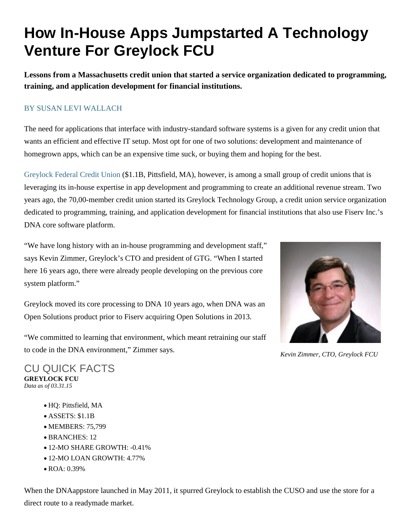## **How In-House Apps Jumpstarted A Technology Venture For Greylock FCU**

**Lessons from a Massachusetts credit union that started a service organization dedicated to programming, training, and application development for financial institutions.**

## [BY SUSAN LEVI WALLACH](http://www.creditunions.com/authors/susan-levi-wallach/)

The need for applications that interface with industry-standard software systems is a given for any credit union that wants an efficient and effective IT setup. Most opt for one of two solutions: development and maintenance of homegrown apps, which can be an expensive time suck, or buying them and hoping for the best.

[Greylock Federal Credit Union](http://www.creditunions.com/Analyze/profile/Greylock/) (\$1.1B, Pittsfield, MA), however, is among a small group of credit unions that is leveraging its in-house expertise in app development and programming to create an additional revenue stream. Two years ago, the 70,00-member credit union started its Greylock Technology Group, a credit union service organization dedicated to programming, training, and application development for financial institutions that also use Fiserv Inc.'s DNA core software platform.

"We have long history with an in-house programming and development staff," says Kevin Zimmer, Greylock's CTO and president of GTG. "When I started here 16 years ago, there were already people developing on the previous core system platform."

Greylock moved its core processing to DNA 10 years ago, when DNA was an Open Solutions product prior to Fiserv acquiring Open Solutions in 2013.

"We committed to learning that environment, which meant retraining our staff to code in the DNA environment," Zimmer says.



*Kevin Zimmer, CTO, Greylock FCU*

CU QUICK FACTS **GREYLOCK FCU** *Data as of 03.31.15*

- HQ: Pittsfield, MA
- ASSETS: \$1.1B
- MEMBERS: 75,799
- BRANCHES: 12
- 12-MO SHARE GROWTH: -0.41%
- 12-MO LOAN GROWTH: 4.77%
- ROA: 0.39%

When the DNAappstore launched in May 2011, it spurred Greylock to establish the CUSO and use the store for a direct route to a readymade market.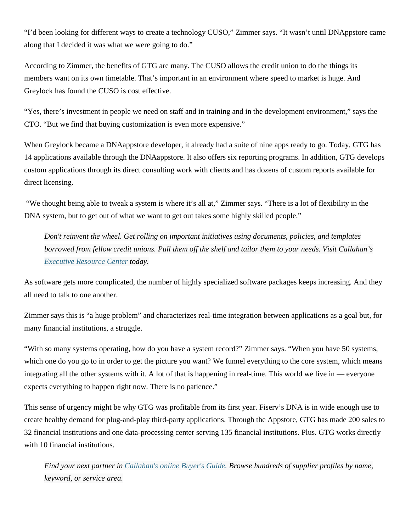"I'd been looking for different ways to create a technology CUSO," Zimmer says. "It wasn't until DNAppstore came along that I decided it was what we were going to do."

According to Zimmer, the benefits of GTG are many. The CUSO allows the credit union to do the things its members want on its own timetable. That's important in an environment where speed to market is huge. And Greylock has found the CUSO is cost effective.

"Yes, there's investment in people we need on staff and in training and in the development environment," says the CTO. "But we find that buying customization is even more expensive."

When Greylock became a DNAappstore developer, it already had a suite of nine apps ready to go. Today, GTG has 14 applications available through the DNAappstore. It also offers six reporting programs. In addition, GTG develops custom applications through its direct consulting work with clients and has dozens of custom reports available for direct licensing.

"We thought being able to tweak a system is where it's all at," Zimmer says. "There is a lot of flexibility in the DNA system, but to get out of what we want to get out takes some highly skilled people."

*Don't reinvent the wheel. Get rolling on important initiatives using documents, policies, and templates borrowed from fellow credit unions. Pull them off the shelf and tailor them to your needs. Visit Callahan's [Executive Resource Center](http://www.creditunions.com/leadership-dashboard/) today.*

As software gets more complicated, the number of highly specialized software packages keeps increasing. And they all need to talk to one another.

Zimmer says this is "a huge problem" and characterizes real-time integration between applications as a goal but, for many financial institutions, a struggle.

"With so many systems operating, how do you have a system record?" Zimmer says. "When you have 50 systems, which one do you go to in order to get the picture you want? We funnel everything to the core system, which means integrating all the other systems with it. A lot of that is happening in real-time. This world we live in — everyone expects everything to happen right now. There is no patience."

This sense of urgency might be why GTG was profitable from its first year. Fiserv's DNA is in wide enough use to create healthy demand for plug-and-play third-party applications. Through the Appstore, GTG has made 200 sales to 32 financial institutions and one data-processing center serving 135 financial institutions. Plus. GTG works directly with 10 financial institutions.

*Find your next partner in [Callahan's online Buyer's Guide.](http://www.creditunions.com/connect/buyers-guide/) Browse hundreds of supplier profiles by name, keyword, or service area.*